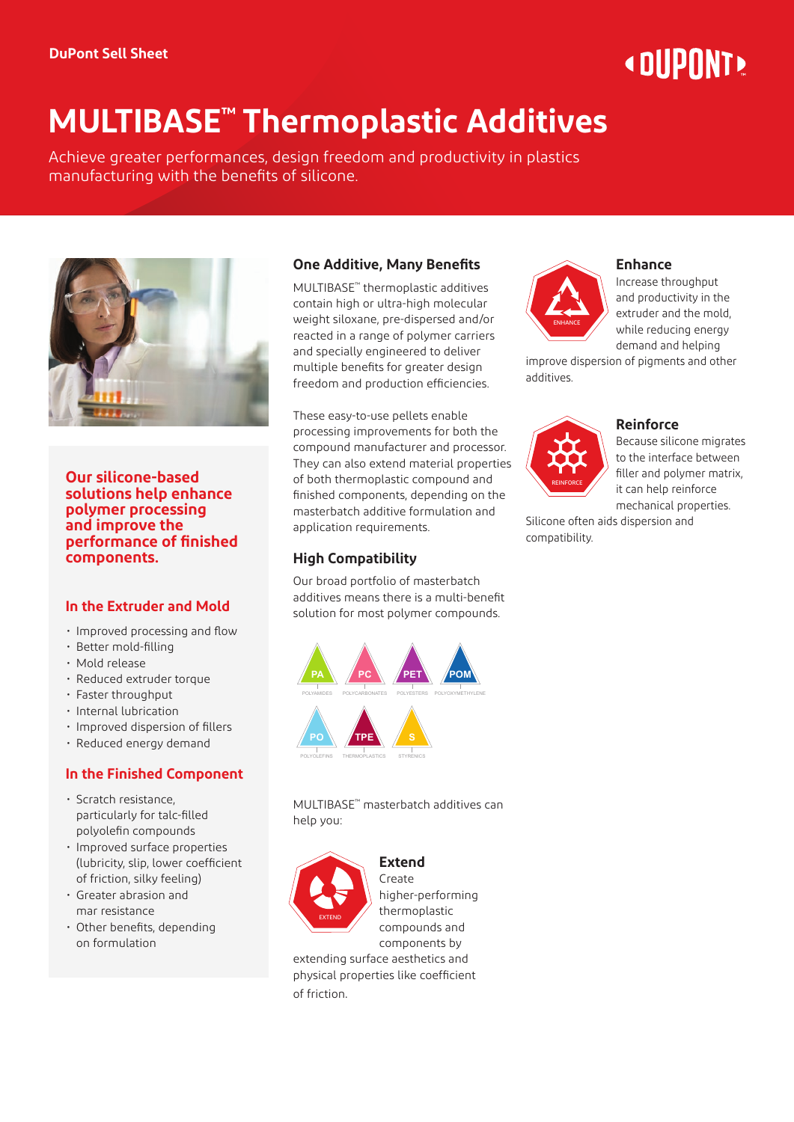# « DIIPNNT»

# **MULTIBASE™ Thermoplastic Additives**

Achieve greater performances, design freedom and productivity in plastics manufacturing with the benefits of silicone.



**Our silicone-based solutions help enhance polymer processing and improve the performance of finished components.**

#### **In the Extruder and Mold**

- Improved processing and flow
- Better mold-filling
- Mold release
- Reduced extruder torque
- Faster throughput
- Internal lubrication
- Improved dispersion of fillers
- **Reduced energy demand**

## **In the Finished Component**

- Scratch resistance, **PA PC** particularly for talc-filled .<br>polyolefin compounds
- Improved surface properties (lubricity, slip, lower coefficient **PAREPTISH PETER PROPERTIES <b>PROPERTIES A PAREPTISH PER PROPERTIES A PROPERTIES A PROPERTIES A PROPERTIES**
- Greater abrasion and mar resistance
- Other benefits, depending **PARTICIPATE IN THE POMPOSITION COMPO PARTICIPATE IN THE POMPOSITION COMPO**

# **One Additive, Many Benefits**

MULTIBASE™ thermoplastic additives contain high or ultra-high molecular weight siloxane, pre-dispersed and/or reacted in a range of polymer carriers and specially engineered to deliver multiple benefits for greater design freedom and production efficiencies.

These easy-to-use pellets enable processing improvements for both the compound manufacturer and processor. They can also extend material properties of both thermoplastic compound and finished components, depending on the masterbatch additive formulation and application requirements.

# **High Compatibility**

Our broad portfolio of masterbatch additives means there is a multi-benefit solution for most polymer compounds.



**MULTIBASE<sup>™</sup> masterbatch additives can** help you:



**PARTICULAR POMPTS** higher-performing thermoplastic compounds and components by

extending surface aesthetics and physical properties like coefficient of friction.



#### **Enhance**

Increase throughput and productivity in the extruder and the mold, while reducing energy demand and helping

improve dispersion of pigments and other additives.



#### **Reinforce**

Because silicone migrates to the interface between filler and polymer matrix, it can help reinforce mechanical properties.

Silicone often aids dispersion and compatibility.